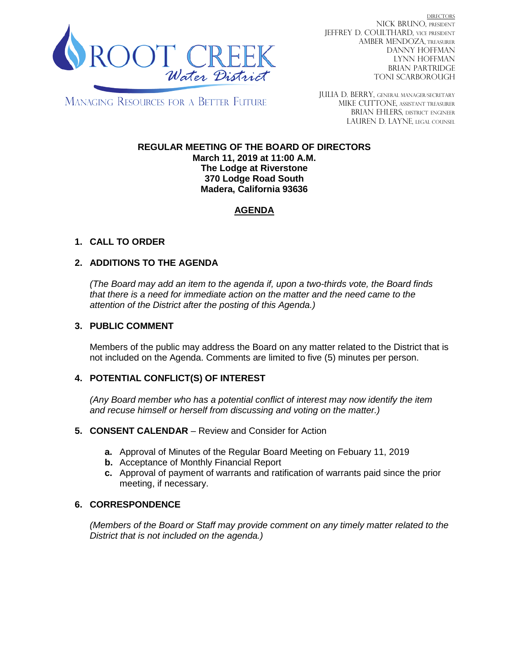

DIRECTORS NICK BRUNO, PRESIDENT JEFFREY D. COULTHARD, VICE PRESIDENT AMBER MENDOZA, TREASURER DANNY HOFFMAN LYNN HOFFMAN BRIAN PARTRIDGE TONI SCARBOROUGH

MANAGING RESOURCES FOR A BETTER FUTURE

JULIA D. BERRY, GENERAL MANAGER/secretary MIKE CUTTONE, Assistant treasurer BRIAN EHLERS, DISTRICT ENGINEER LAUREN D. LAYNE, LEGAL COUNSEL

#### **REGULAR MEETING OF THE BOARD OF DIRECTORS March 11, 2019 at 11:00 A.M. The Lodge at Riverstone 370 Lodge Road South Madera, California 93636**

# **AGENDA**

# **1. CALL TO ORDER**

## **2. ADDITIONS TO THE AGENDA**

*(The Board may add an item to the agenda if, upon a two-thirds vote, the Board finds that there is a need for immediate action on the matter and the need came to the attention of the District after the posting of this Agenda.)*

### **3. PUBLIC COMMENT**

Members of the public may address the Board on any matter related to the District that is not included on the Agenda. Comments are limited to five (5) minutes per person.

## **4. POTENTIAL CONFLICT(S) OF INTEREST**

*(Any Board member who has a potential conflict of interest may now identify the item and recuse himself or herself from discussing and voting on the matter.)*

#### **5. CONSENT CALENDAR** – Review and Consider for Action

- **a.** Approval of Minutes of the Regular Board Meeting on Febuary 11, 2019
- **b.** Acceptance of Monthly Financial Report
- **c.** Approval of payment of warrants and ratification of warrants paid since the prior meeting, if necessary.

## **6. CORRESPONDENCE**

*(Members of the Board or Staff may provide comment on any timely matter related to the District that is not included on the agenda.)*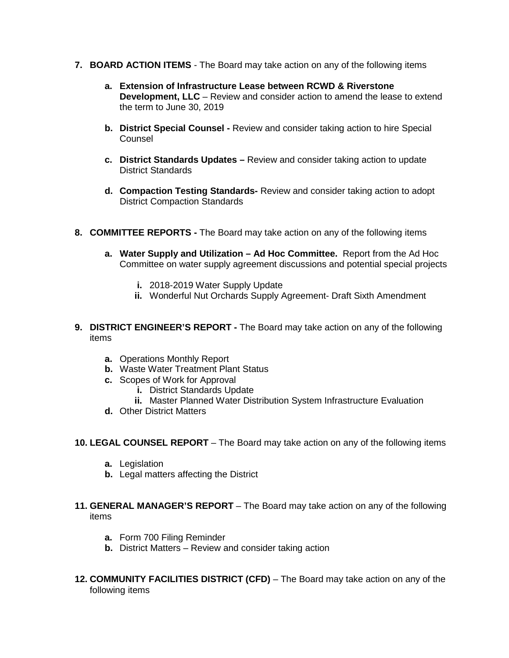- **7. BOARD ACTION ITEMS**  The Board may take action on any of the following items
	- **a. Extension of Infrastructure Lease between RCWD & Riverstone Development, LLC** – Review and consider action to amend the lease to extend the term to June 30, 2019
	- **b. District Special Counsel -** Review and consider taking action to hire Special **Counsel**
	- **c. District Standards Updates –** Review and consider taking action to update District Standards
	- **d. Compaction Testing Standards-** Review and consider taking action to adopt District Compaction Standards
- **8. COMMITTEE REPORTS -** The Board may take action on any of the following items
	- **a. Water Supply and Utilization – Ad Hoc Committee.** Report from the Ad Hoc Committee on water supply agreement discussions and potential special projects
		- **i.** 2018-2019 Water Supply Update
		- **ii.** Wonderful Nut Orchards Supply Agreement- Draft Sixth Amendment
- **9. DISTRICT ENGINEER'S REPORT -** The Board may take action on any of the following items
	- **a.** Operations Monthly Report
	- **b.** Waste Water Treatment Plant Status
	- **c.** Scopes of Work for Approval
		- **i.** District Standards Update
		- **ii.** Master Planned Water Distribution System Infrastructure Evaluation
	- **d.** Other District Matters

#### **10. LEGAL COUNSEL REPORT** – The Board may take action on any of the following items

- **a.** Legislation
- **b.** Legal matters affecting the District
- **11. GENERAL MANAGER'S REPORT** The Board may take action on any of the following items
	- **a.** Form 700 Filing Reminder
	- **b.** District Matters Review and consider taking action
- **12. COMMUNITY FACILITIES DISTRICT (CFD)** The Board may take action on any of the following items